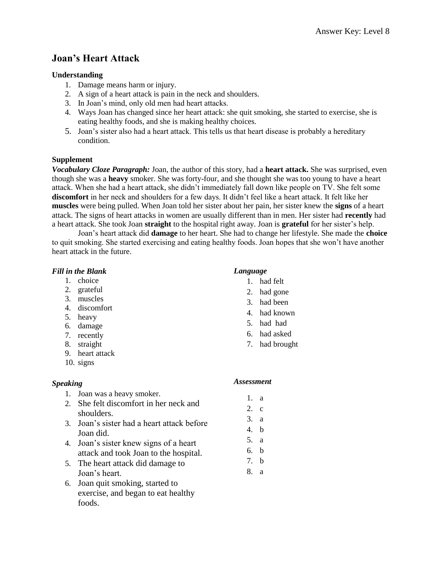# **Joan's Heart Attack**

## **Understanding**

- 1. Damage means harm or injury.
- 2. A sign of a heart attack is pain in the neck and shoulders.
- 3. In Joan's mind, only old men had heart attacks.
- 4. Ways Joan has changed since her heart attack: she quit smoking, she started to exercise, she is eating healthy foods, and she is making healthy choices.
- 5. Joan's sister also had a heart attack. This tells us that heart disease is probably a hereditary condition.

# **Supplement**

*Vocabulary Cloze Paragraph:* Joan, the author of this story, had a **heart attack.** She was surprised, even though she was a **heavy** smoker. She was forty-four, and she thought she was too young to have a heart attack. When she had a heart attack, she didn't immediately fall down like people on TV. She felt some **discomfort** in her neck and shoulders for a few days. It didn't feel like a heart attack. It felt like her **muscles** were being pulled. When Joan told her sister about her pain, her sister knew the **signs** of a heart attack. The signs of heart attacks in women are usually different than in men. Her sister had **recently** had a heart attack. She took Joan **straight** to the hospital right away. Joan is **grateful** for her sister's help.

Joan's heart attack did **damage** to her heart. She had to change her lifestyle. She made the **choice** to quit smoking. She started exercising and eating healthy foods. Joan hopes that she won't have another heart attack in the future.

# *Fill in the Blank*

- 1. choice
- 2. grateful
- 3. muscles
- 4. discomfort
- 5. heavy
- 6. damage
- 7. recently
- 8. straight
- 9. heart attack
- 10. signs

# *Speaking*

- 1. Joan was a heavy smoker.
- 2. She felt discomfort in her neck and shoulders.
- 3. Joan's sister had a heart attack before Joan did.
- 4. Joan's sister knew signs of a heart attack and took Joan to the hospital.
- 5. The heart attack did damage to Joan's heart.
- 6. Joan quit smoking, started to exercise, and began to eat healthy foods.

## *Language*

- 1. had felt
- 2. had gone
- 3. had been
- 4. had known
- 5. had had
- 6. had asked
- 7. had brought

- 1. a
- 2. c
- 3. a
- 4. b
- 5. a
- 6. b
- 7. b
- 8. a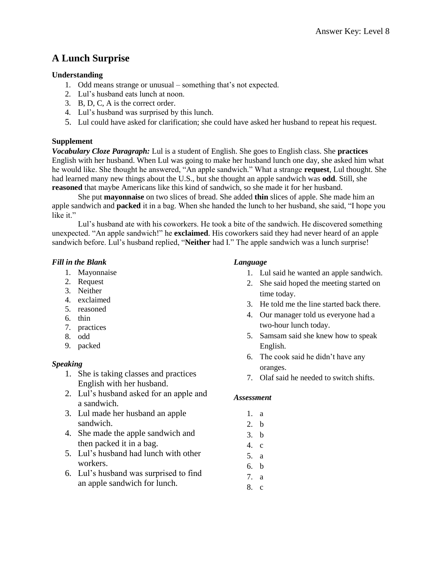# **A Lunch Surprise**

## **Understanding**

- 1. Odd means strange or unusual something that's not expected.
- 2. Lul's husband eats lunch at noon.
- 3. B, D, C, A is the correct order.
- 4. Lul's husband was surprised by this lunch.
- 5. Lul could have asked for clarification; she could have asked her husband to repeat his request.

## **Supplement**

*Vocabulary Cloze Paragraph:* Lul is a student of English. She goes to English class. She **practices** English with her husband. When Lul was going to make her husband lunch one day, she asked him what he would like. She thought he answered, "An apple sandwich." What a strange **request**, Lul thought. She had learned many new things about the U.S., but she thought an apple sandwich was **odd**. Still, she **reasoned** that maybe Americans like this kind of sandwich, so she made it for her husband.

She put **mayonnaise** on two slices of bread. She added **thin** slices of apple. She made him an apple sandwich and **packed** it in a bag. When she handed the lunch to her husband, she said, "I hope you like it."

Lul's husband ate with his coworkers. He took a bite of the sandwich. He discovered something unexpected. "An apple sandwich!" he **exclaimed**. His coworkers said they had never heard of an apple sandwich before. Lul's husband replied, "**Neither** had I." The apple sandwich was a lunch surprise!

## *Fill in the Blank*

- 1. Mayonnaise
- 2. Request
- 3. Neither
- 4. exclaimed
- 5. reasoned
- 6. thin
- 7. practices
- 8. odd
- 9. packed

## *Speaking*

- 1. She is taking classes and practices English with her husband.
- 2. Lul's husband asked for an apple and a sandwich.
- 3. Lul made her husband an apple sandwich.
- 4. She made the apple sandwich and then packed it in a bag.
- 5. Lul's husband had lunch with other workers.
- 6. Lul's husband was surprised to find an apple sandwich for lunch.

#### *Language*

- 1. Lul said he wanted an apple sandwich.
- 2. She said hoped the meeting started on time today.
- 3. He told me the line started back there.
- 4. Our manager told us everyone had a two-hour lunch today.
- 5. Samsam said she knew how to speak English.
- 6. The cook said he didn't have any oranges.
- 7. Olaf said he needed to switch shifts.

- 1. a
- 2. b
- 3. b
- 4. c
- 5. a
- 6. b
- 7. a
- 8. c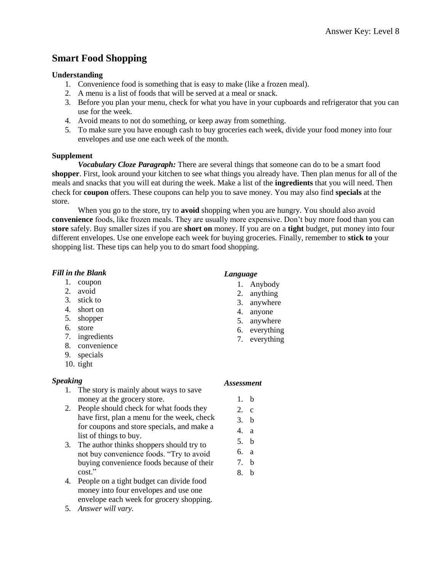# **Smart Food Shopping**

### **Understanding**

- 1. Convenience food is something that is easy to make (like a frozen meal).
- 2. A menu is a list of foods that will be served at a meal or snack.
- 3. Before you plan your menu, check for what you have in your cupboards and refrigerator that you can use for the week.
- 4. Avoid means to not do something, or keep away from something.
- 5. To make sure you have enough cash to buy groceries each week, divide your food money into four envelopes and use one each week of the month.

#### **Supplement**

*Vocabulary Cloze Paragraph:* There are several things that someone can do to be a smart food **shopper**. First, look around your kitchen to see what things you already have. Then plan menus for all of the meals and snacks that you will eat during the week. Make a list of the **ingredients** that you will need. Then check for **coupon** offers. These coupons can help you to save money. You may also find **specials** at the store.

When you go to the store, try to **avoid** shopping when you are hungry. You should also avoid **convenience** foods, like frozen meals. They are usually more expensive. Don't buy more food than you can **store** safely. Buy smaller sizes if you are **short on** money. If you are on a **tight** budget, put money into four different envelopes. Use one envelope each week for buying groceries. Finally, remember to **stick to** your shopping list. These tips can help you to do smart food shopping.

## *Fill in the Blank*

- 1. coupon
- 2. avoid
- 3. stick to
- 4. short on
- 5. shopper
- 6. store
- 7. ingredients
- 8. convenience
- 9. specials
- 10. tight

## *Speaking*

- 1. The story is mainly about ways to save money at the grocery store.
- 2. People should check for what foods they have first, plan a menu for the week, check for coupons and store specials, and make a list of things to buy.
- 3. The author thinks shoppers should try to not buy convenience foods. "Try to avoid buying convenience foods because of their cost."
- 4. People on a tight budget can divide food money into four envelopes and use one envelope each week for grocery shopping.
- 5. *Answer will vary.*

# *Language*

- 1. Anybody
- 2. anything
- 3. anywhere
- 4. anyone
- 5. anywhere
- 6. everything
- 7. everything

- 1. b
- 2. c
- 3. b
- 4. a
- 5. b
- 6. a
- 7. b
- 8. b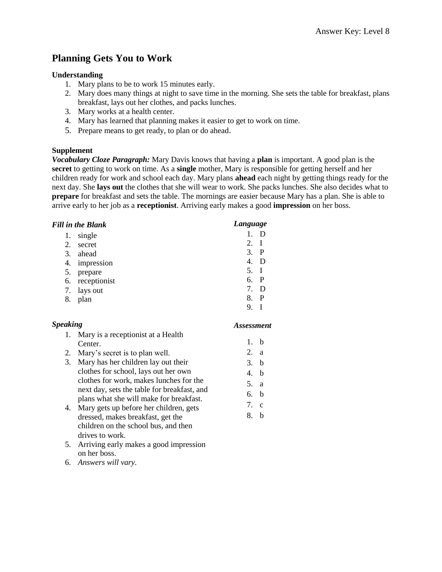# **Planning Gets You to Work**

#### **Understanding**

- 1. Mary plans to be to work 15 minutes early.
- 2. Mary does many things at night to save time in the morning. She sets the table for breakfast, plans breakfast, lays out her clothes, and packs lunches.
- 3. Mary works at a health center.
- 4. Mary has learned that planning makes it easier to get to work on time.
- 5. Prepare means to get ready, to plan or do ahead.

#### **Supplement**

*Vocabulary Cloze Paragraph:* Mary Davis knows that having a **plan** is important. A good plan is the **secret** to getting to work on time. As a **single** mother, Mary is responsible for getting herself and her children ready for work and school each day. Mary plans **ahead** each night by getting things ready for the next day. She **lays out** the clothes that she will wear to work. She packs lunches. She also decides what to **prepare** for breakfast and sets the table. The mornings are easier because Mary has a plan. She is able to arrive early to her job as a **receptionist**. Arriving early makes a good **impression** on her boss.

|  | <b>Fill in the Blank</b> |  |
|--|--------------------------|--|
|  |                          |  |

| 1. | single          |      |              |
|----|-----------------|------|--------------|
| 2. | secret          | 2. I |              |
| 3. | ahead           | 3. P |              |
| 4. | impression      | 4.   | $\mathbf D$  |
| 5. | prepare         | 5. I |              |
|    | 6. receptionist | 6. P |              |
|    | 7. lays out     | 7. D |              |
|    | 8. plan         | 8.   | $\mathbf{P}$ |
|    |                 | 9.   |              |

## *Speaking*

*Assessment*

1. b 2. a 3. b 4. b 5. a 6. b 7. c 8. b

*Language*

- 1. Mary is a receptionist at a Health Center. 2. Mary's secret is to plan well.
- 3. Mary has her children lay out their clothes for school, lays out her own clothes for work, makes lunches for the next day, sets the table for breakfast, and plans what she will make for breakfast.
- 4. Mary gets up before her children, gets dressed, makes breakfast, get the children on the school bus, and then drives to work.
- 5. Arriving early makes a good impression on her boss.
- 6. *Answers will vary.*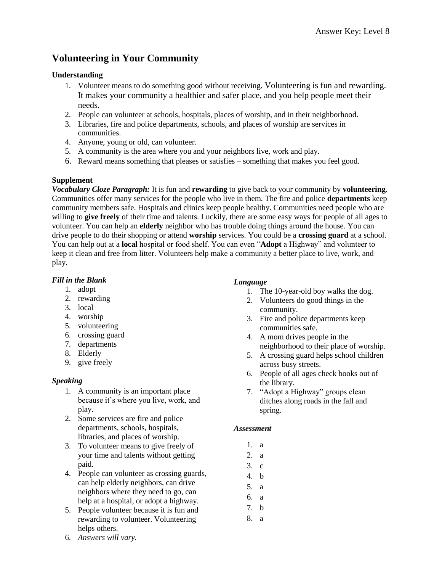# **Volunteering in Your Community**

## **Understanding**

- 1. Volunteer means to do something good without receiving. Volunteering is fun and rewarding. It makes your community a healthier and safer place, and you help people meet their needs.
- 2. People can volunteer at schools, hospitals, places of worship, and in their neighborhood.
- 3. Libraries, fire and police departments, schools, and places of worship are services in communities.
- 4. Anyone, young or old, can volunteer.
- 5. A community is the area where you and your neighbors live, work and play.
- 6. Reward means something that pleases or satisfies something that makes you feel good.

## **Supplement**

*Vocabulary Cloze Paragraph:* It is fun and **rewarding** to give back to your community by **volunteering**. Communities offer many services for the people who live in them. The fire and police **departments** keep community members safe. Hospitals and clinics keep people healthy. Communities need people who are willing to **give freely** of their time and talents. Luckily, there are some easy ways for people of all ages to volunteer. You can help an **elderly** neighbor who has trouble doing things around the house. You can drive people to do their shopping or attend **worship** services. You could be a **crossing guard** at a school. You can help out at a **local** hospital or food shelf. You can even "**Adopt** a Highway" and volunteer to keep it clean and free from litter. Volunteers help make a community a better place to live, work, and play.

# *Fill in the Blank*

- 1. adopt
- 2. rewarding
- 3. local
- 4. worship
- 5. volunteering
- 6. crossing guard
- 7. departments
- 8. Elderly
- 9. give freely

# *Speaking*

- 1. A community is an important place because it's where you live, work, and play.
- 2. Some services are fire and police departments, schools, hospitals, libraries, and places of worship.
- 3. To volunteer means to give freely of your time and talents without getting paid.
- 4. People can volunteer as crossing guards, can help elderly neighbors, can drive neighbors where they need to go, can help at a hospital, or adopt a highway.
- 5. People volunteer because it is fun and rewarding to volunteer. Volunteering helps others.

## 6. *Answers will vary.*

# *Language*

- 1. The 10-year-old boy walks the dog.
- 2. Volunteers do good things in the community.
- 3. Fire and police departments keep communities safe.
- 4. A mom drives people in the neighborhood to their place of worship.
- 5. A crossing guard helps school children across busy streets.
- 6. People of all ages check books out of the library.
- 7. "Adopt a Highway" groups clean ditches along roads in the fall and spring.

- 1. a
- 2. a
- 3. c
- 4. b
- 5. a
- 6. a
- 7. b
- 8. a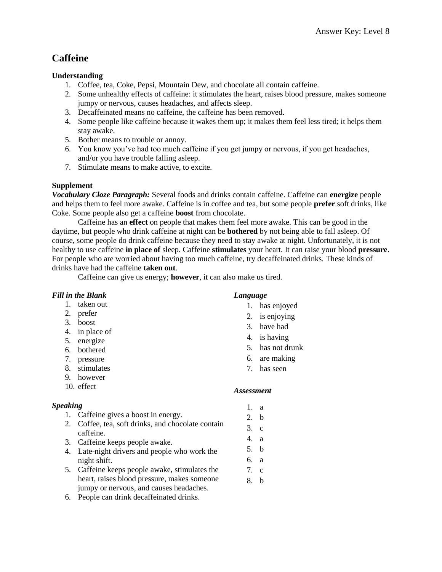# **Caffeine**

# **Understanding**

- 1. Coffee, tea, Coke, Pepsi, Mountain Dew, and chocolate all contain caffeine.
- 2. Some unhealthy effects of caffeine: it stimulates the heart, raises blood pressure, makes someone jumpy or nervous, causes headaches, and affects sleep.
- 3. Decaffeinated means no caffeine, the caffeine has been removed.
- 4. Some people like caffeine because it wakes them up; it makes them feel less tired; it helps them stay awake.
- 5. Bother means to trouble or annoy.
- 6. You know you've had too much caffeine if you get jumpy or nervous, if you get headaches, and/or you have trouble falling asleep.
- 7. Stimulate means to make active, to excite.

# **Supplement**

*Vocabulary Cloze Paragraph:* Several foods and drinks contain caffeine. Caffeine can **energize** people and helps them to feel more awake. Caffeine is in coffee and tea, but some people **prefer** soft drinks, like Coke. Some people also get a caffeine **boost** from chocolate.

Caffeine has an **effect** on people that makes them feel more awake. This can be good in the daytime, but people who drink caffeine at night can be **bothered** by not being able to fall asleep. Of course, some people do drink caffeine because they need to stay awake at night. Unfortunately, it is not healthy to use caffeine **in place of** sleep. Caffeine **stimulates** your heart. It can raise your blood **pressure**. For people who are worried about having too much caffeine, try decaffeinated drinks. These kinds of drinks have had the caffeine **taken out**.

Caffeine can give us energy; **however**, it can also make us tired.

# *Fill in the Blank*

- 1. taken out
- 2. prefer
- 3. boost
- 4. in place of
- 5. energize
- 6. bothered
- 7. pressure
- 8. stimulates
- 9. however
- 10. effect

## *Speaking*

- 1. Caffeine gives a boost in energy.
- 2. Coffee, tea, soft drinks, and chocolate contain caffeine.
- 3. Caffeine keeps people awake.
- 4. Late-night drivers and people who work the night shift.
- 5. Caffeine keeps people awake, stimulates the heart, raises blood pressure, makes someone jumpy or nervous, and causes headaches.
- 6. People can drink decaffeinated drinks.

# *Language*

- 1. has enjoyed
- 2. is enjoying
- 3. have had
- 4. is having
- 5. has not drunk
- 6. are making
- 7. has seen

- 1. a
- 2. b
- 3. c
- 4. a
- 5. b
- 6. a
- 7. c
- 8. b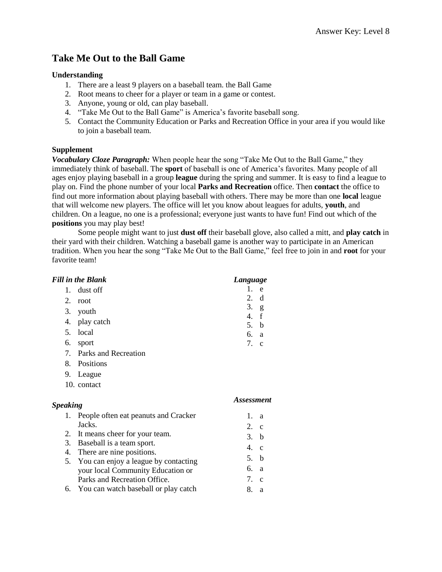# **Take Me Out to the Ball Game**

#### **Understanding**

- 1. There are a least 9 players on a baseball team. the Ball Game
- 2. Root means to cheer for a player or team in a game or contest.
- 3. Anyone, young or old, can play baseball.
- 4. "Take Me Out to the Ball Game" is America's favorite baseball song.
- 5. Contact the Community Education or Parks and Recreation Office in your area if you would like to join a baseball team.

## **Supplement**

*Vocabulary Cloze Paragraph:* When people hear the song "Take Me Out to the Ball Game," they immediately think of baseball. The **sport** of baseball is one of America's favorites. Many people of all ages enjoy playing baseball in a group **league** during the spring and summer. It is easy to find a league to play on. Find the phone number of your local **Parks and Recreation** office. Then **contact** the office to find out more information about playing baseball with others. There may be more than one **local** league that will welcome new players. The office will let you know about leagues for adults, **youth**, and children. On a league, no one is a professional; everyone just wants to have fun! Find out which of the **positions** you may play best!

Some people might want to just **dust off** their baseball glove, also called a mitt, and **play catch** in their yard with their children. Watching a baseball game is another way to participate in an American tradition. When you hear the song "Take Me Out to the Ball Game," feel free to join in and **root** for your favorite team!

|                 | <b>Fill in the Blank</b>             | Language                 |
|-----------------|--------------------------------------|--------------------------|
| 1.              | dust off                             | $\mathbf{1}$<br>e        |
| 2.              | root                                 | 2.<br>d                  |
| 3.              | youth                                | 3.<br>g<br>f             |
| 4.              | play catch                           | 4.<br>5. b               |
| 5.              | local                                | 6.<br>a                  |
| 6.              | sport                                | 7. c                     |
| 7.              | Parks and Recreation                 |                          |
| 8.              | Positions                            |                          |
| 9.              | League                               |                          |
|                 | 10. contact                          |                          |
| <b>Speaking</b> |                                      | <i><b>Assessment</b></i> |
| 1.              | People often eat peanuts and Cracker | 1.<br>a                  |
|                 | Jacks.                               | 2. c                     |
| 2.              | It means cheer for your team.        | 3. b                     |
| 3.              | Baseball is a team sport.            | 4. c                     |
|                 | 4. There are nine positions.         |                          |
| 5.              | You can enjoy a league by contacting | 5.<br>b                  |
|                 | your local Community Education or    | 6.<br>a                  |
|                 | Parks and Recreation Office.         | 7.<br>$\mathbf{C}$       |

6. You can watch baseball or play catch 8. a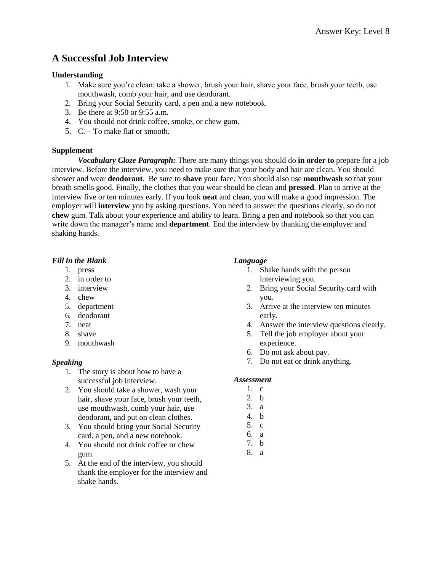# **A Successful Job Interview**

#### **Understanding**

- 1. Make sure you're clean: take a shower, brush your hair, shave your face, brush your teeth, use mouthwash, comb your hair, and use deodorant.
- 2. Bring your Social Security card, a pen and a new notebook.
- 3. Be there at 9:50 or 9:55 a.m.
- 4. You should not drink coffee, smoke, or chew gum.
- 5. C. To make flat or smooth.

#### **Supplement**

*Vocabulary Cloze Paragraph:* There are many things you should do **in order to** prepare for a job interview. Before the interview, you need to make sure that your body and hair are clean. You should shower and wear **deodorant**. Be sure to **shave** your face. You should also use **mouthwash** so that your breath smells good. Finally, the clothes that you wear should be clean and **pressed**. Plan to arrive at the interview five or ten minutes early. If you look **neat** and clean, you will make a good impression. The employer will **interview** you by asking questions. You need to answer the questions clearly, so do not **chew** gum. Talk about your experience and ability to learn. Bring a pen and notebook so that you can write down the manager's name and **department**. End the interview by thanking the employer and shaking hands.

#### *Fill in the Blank*

- 1. press
- 2. in order to
- 3. interview
- 4. chew
- 5. department
- 6. deodorant
- 7. neat
- 8. shave
- 9. mouthwash

## *Speaking*

- 1. The story is about how to have a successful job interview.
- 2. You should take a shower, wash your hair, shave your face, brush your teeth, use mouthwash, comb your hair, use deodorant, and put on clean clothes.
- 3. You should bring your Social Security card, a pen, and a new notebook.
- 4. You should not drink coffee or chew gum.
- 5. At the end of the interview, you should thank the employer for the interview and shake hands.

#### *Language*

- 1. Shake hands with the person interviewing you.
- 2. Bring your Social Security card with you.
- 3. Arrive at the interview ten minutes early.
- 4. Answer the interview questions clearly.
- 5. Tell the job employer about your experience.
- 6. Do not ask about pay.
- 7. Do not eat or drink anything.

- 1. c
- 2. b 3. a
- 4. b
- 5. c
- 6. a
- 7. b
- 8. a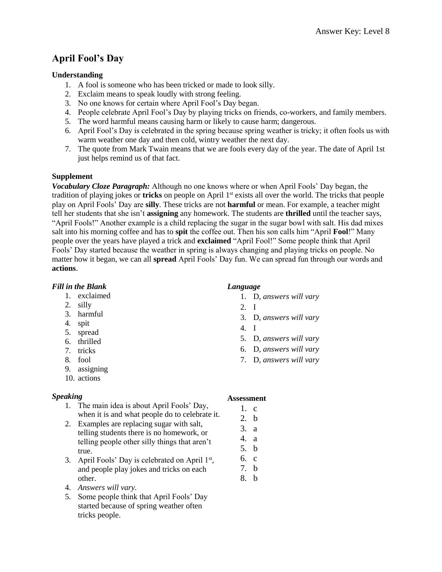# **April Fool's Day**

# **Understanding**

- 1. A fool is someone who has been tricked or made to look silly.
- 2. Exclaim means to speak loudly with strong feeling.
- 3. No one knows for certain where April Fool's Day began.
- 4. People celebrate April Fool's Day by playing tricks on friends, co-workers, and family members.
- 5. The word harmful means causing harm or likely to cause harm; dangerous.
- 6. April Fool's Day is celebrated in the spring because spring weather is tricky; it often fools us with warm weather one day and then cold, wintry weather the next day.
- 7. The quote from Mark Twain means that we are fools every day of the year. The date of April 1st just helps remind us of that fact.

# **Supplement**

*Vocabulary Cloze Paragraph:* Although no one knows where or when April Fools' Day began, the tradition of playing jokes or **tricks** on people on April 1st exists all over the world. The tricks that people play on April Fools' Day are **silly**. These tricks are not **harmful** or mean. For example, a teacher might tell her students that she isn't **assigning** any homework. The students are **thrilled** until the teacher says, "April Fools!" Another example is a child replacing the sugar in the sugar bowl with salt. His dad mixes salt into his morning coffee and has to **spit** the coffee out. Then his son calls him "April **Fool**!" Many people over the years have played a trick and **exclaimed** "April Fool!" Some people think that April Fools' Day started because the weather in spring is always changing and playing tricks on people. No matter how it began, we can all **spread** April Fools' Day fun. We can spread fun through our words and **actions**.

# *Fill in the Blank*

- 1. exclaimed
- 2. silly
- 3. harmful
- 4. spit
- 5. spread
- 6. thrilled
- 7. tricks
- 8. fool
- 9. assigning
- 10. actions

# *Speaking*

- 1. The main idea is about April Fools' Day, when it is and what people do to celebrate it.
- 2. Examples are replacing sugar with salt, telling students there is no homework, or telling people other silly things that aren't true.
- 3. April Fools' Day is celebrated on April 1<sup>st</sup>, and people play jokes and tricks on each other.
- 4. *Answers will vary.*
- 5. Some people think that April Fools' Day started because of spring weather often tricks people.

# *Language*

- 1. D, *answers will vary*
- 2. I
- 3. D, *answers will vary*
- 4. I
- 5. D, *answers will vary*
- 6. D, *answers will vary*
- 7. D, *answers will vary*

- $1 \quad c$
- 2. b
- 3. a
- 4. a
- 5. b
- 6. c
- 7. b
- 8. b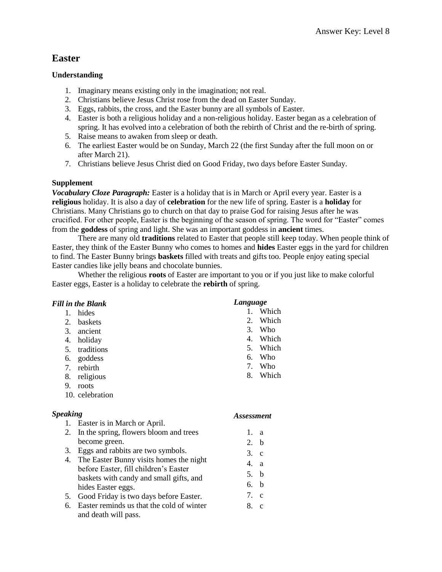# **Easter**

## **Understanding**

- 1. Imaginary means existing only in the imagination; not real.
- 2. Christians believe Jesus Christ rose from the dead on Easter Sunday.
- 3. Eggs, rabbits, the cross, and the Easter bunny are all symbols of Easter.
- 4. Easter is both a religious holiday and a non-religious holiday. Easter began as a celebration of spring. It has evolved into a celebration of both the rebirth of Christ and the re-birth of spring.
- 5. Raise means to awaken from sleep or death.
- 6. The earliest Easter would be on Sunday, March 22 (the first Sunday after the full moon on or after March 21).
- 7. Christians believe Jesus Christ died on Good Friday, two days before Easter Sunday.

# **Supplement**

*Vocabulary Cloze Paragraph:* Easter is a holiday that is in March or April every year. Easter is a **religious** holiday. It is also a day of **celebration** for the new life of spring. Easter is a **holiday** for Christians. Many Christians go to church on that day to praise God for raising Jesus after he was crucified. For other people, Easter is the beginning of the season of spring. The word for "Easter" comes from the **goddess** of spring and light. She was an important goddess in **ancient** times.

There are many old **traditions** related to Easter that people still keep today. When people think of Easter, they think of the Easter Bunny who comes to homes and **hides** Easter eggs in the yard for children to find. The Easter Bunny brings **baskets** filled with treats and gifts too. People enjoy eating special Easter candies like jelly beans and chocolate bunnies.

Whether the religious **roots** of Easter are important to you or if you just like to make colorful Easter eggs, Easter is a holiday to celebrate the **rebirth** of spring.

# *Fill in the Blank*

- 1. hides
- 2. baskets
- 3. ancient
- 4. holiday
- 5. traditions
- 6. goddess
- 7. rebirth
- 8. religious
- 9. roots
- 10. celebration

## *Speaking*

- 1. Easter is in March or April.
- 2. In the spring, flowers bloom and trees become green.
- 3. Eggs and rabbits are two symbols.
- 4. The Easter Bunny visits homes the night before Easter, fill children's Easter baskets with candy and small gifts, and hides Easter eggs.
- 5. Good Friday is two days before Easter.
- 6. Easter reminds us that the cold of winter and death will pass.

## *Language*

- 1. Which
- 2. Which
- 3. Who
- 4. Which
- 5. Which
- 6. Who
- 7. Who
- 8. Which

- 1. a
- 2. b
- 3. c
- 4. a
- 5. b
- 6. b
- 7. c
- 8. c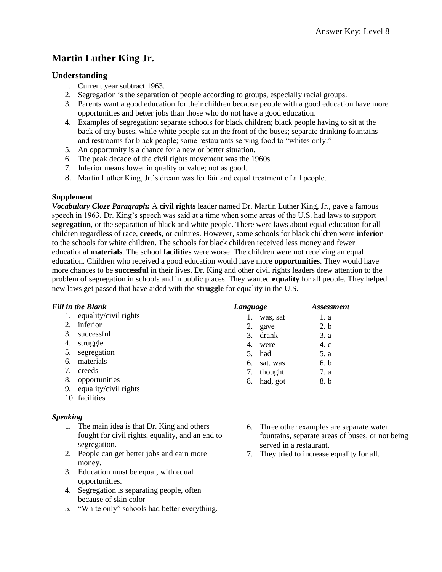# **Martin Luther King Jr.**

## **Understanding**

- 1. Current year subtract 1963.
- 2. Segregation is the separation of people according to groups, especially racial groups.
- 3. Parents want a good education for their children because people with a good education have more opportunities and better jobs than those who do not have a good education.
- 4. Examples of segregation: separate schools for black children; black people having to sit at the back of city buses, while white people sat in the front of the buses; separate drinking fountains and restrooms for black people; some restaurants serving food to "whites only."
- 5. An opportunity is a chance for a new or better situation.
- 6. The peak decade of the civil rights movement was the 1960s.
- 7. Inferior means lower in quality or value; not as good.
- 8. Martin Luther King, Jr.'s dream was for fair and equal treatment of all people.

#### **Supplement**

*Vocabulary Cloze Paragraph:* A **civil rights** leader named Dr. Martin Luther King, Jr., gave a famous speech in 1963. Dr. King's speech was said at a time when some areas of the U.S. had laws to support **segregation**, or the separation of black and white people. There were laws about equal education for all children regardless of race, **creeds**, or cultures. However, some schools for black children were **inferior** to the schools for white children. The schools for black children received less money and fewer educational **materials**. The school **facilities** were worse. The children were not receiving an equal education. Children who received a good education would have more **opportunities**. They would have more chances to be **successful** in their lives. Dr. King and other civil rights leaders drew attention to the problem of segregation in schools and in public places. They wanted **equality** for all people. They helped new laws get passed that have aided with the **struggle** for equality in the U.S.

#### *Fill in the Blank*

- 1. equality/civil rights
- 2. inferior
- 3. successful
- 4. struggle
- 5. segregation
- 6. materials
- 7. creeds
- 8. opportunities
- 9. equality/civil rights
- 10. facilities

#### *Speaking*

- 1. The main idea is that Dr. King and others fought for civil rights, equality, and an end to segregation.
- 2. People can get better jobs and earn more money.
- 3. Education must be equal, with equal opportunities.
- 4. Segregation is separating people, often because of skin color
- 5. "White only" schools had better everything.

| Language |             | <b>Assessment</b> |  |
|----------|-------------|-------------------|--|
| 1.       | was, sat    | 1. a              |  |
|          | 2. gave     | 2. h              |  |
|          | 3. drank    | 3. a              |  |
|          | 4. were     | 4.c               |  |
|          | 5. had      | 5. a              |  |
|          | 6. sat, was | 6. b              |  |
|          | 7. thought  | 7. a              |  |
| 8.       | had, got    | 8. b              |  |

- 6. Three other examples are separate water fountains, separate areas of buses, or not being served in a restaurant.
- 7. They tried to increase equality for all.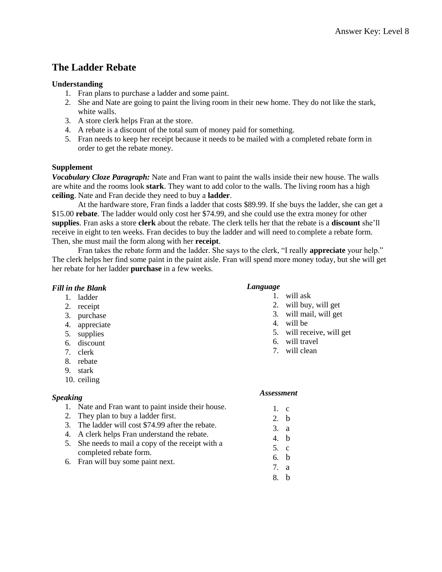# **The Ladder Rebate**

#### **Understanding**

- 1. Fran plans to purchase a ladder and some paint.
- 2. She and Nate are going to paint the living room in their new home. They do not like the stark, white walls.
- 3. A store clerk helps Fran at the store.
- 4. A rebate is a discount of the total sum of money paid for something.
- 5. Fran needs to keep her receipt because it needs to be mailed with a completed rebate form in order to get the rebate money.

#### **Supplement**

*Vocabulary Cloze Paragraph:* Nate and Fran want to paint the walls inside their new house. The walls are white and the rooms look **stark**. They want to add color to the walls. The living room has a high **ceiling**. Nate and Fran decide they need to buy a **ladder**.

At the hardware store, Fran finds a ladder that costs \$89.99. If she buys the ladder, she can get a \$15.00 **rebate**. The ladder would only cost her \$74.99, and she could use the extra money for other **supplies**. Fran asks a store **clerk** about the rebate. The clerk tells her that the rebate is a **discount** she'll receive in eight to ten weeks. Fran decides to buy the ladder and will need to complete a rebate form. Then, she must mail the form along with her **receipt**.

Fran takes the rebate form and the ladder. She says to the clerk, "I really **appreciate** your help." The clerk helps her find some paint in the paint aisle. Fran will spend more money today, but she will get her rebate for her ladder **purchase** in a few weeks.

## *Fill in the Blank*

- 1. ladder
- 2. receipt
- 3. purchase
- 4. appreciate
- 5. supplies
- 6. discount
- 7. clerk
- 8. rebate
- 9. stark
- 10. ceiling

## *Speaking*

- 1. Nate and Fran want to paint inside their house.
- 2. They plan to buy a ladder first.
- 3. The ladder will cost \$74.99 after the rebate.
- 4. A clerk helps Fran understand the rebate.
- 5. She needs to mail a copy of the receipt with a completed rebate form.
- 6. Fran will buy some paint next.

#### *Language*

- 1. will ask
	- 2. will buy, will get
	- 3. will mail, will get
	- 4. will be
	- 5. will receive, will get
- 6. will travel
- 7. will clean
- *Assessment*
	- $1 \quad c$
	- 2. b
	- 3. a
	- 4. b
	- 5. c
	- 6. b
	- 7. a
	- 8. b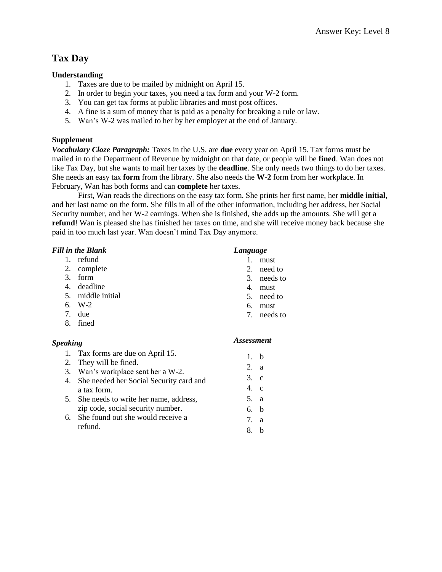# **Tax Day**

## **Understanding**

- 1. Taxes are due to be mailed by midnight on April 15.
- 2. In order to begin your taxes, you need a tax form and your W-2 form.
- 3. You can get tax forms at public libraries and most post offices.
- 4. A fine is a sum of money that is paid as a penalty for breaking a rule or law.
- 5. Wan's W-2 was mailed to her by her employer at the end of January.

# **Supplement**

*Vocabulary Cloze Paragraph:* Taxes in the U.S. are **due** every year on April 15. Tax forms must be mailed in to the Department of Revenue by midnight on that date, or people will be **fined**. Wan does not like Tax Day, but she wants to mail her taxes by the **deadline**. She only needs two things to do her taxes. She needs an easy tax **form** from the library. She also needs the **W-2** form from her workplace. In February, Wan has both forms and can **complete** her taxes.

First, Wan reads the directions on the easy tax form. She prints her first name, her **middle initial**, and her last name on the form. She fills in all of the other information, including her address, her Social Security number, and her W-2 earnings. When she is finished, she adds up the amounts. She will get a **refund**! Wan is pleased she has finished her taxes on time, and she will receive money back because she paid in too much last year. Wan doesn't mind Tax Day anymore.

|  | <b>Fill in the Blank</b> |
|--|--------------------------|
|  |                          |

- 1. refund
- 2. complete
- 3. form
- 4. deadline
- 5. middle initial
- 6. W-2
- 7. due
- 8. fined

# *Speaking*

- 1. Tax forms are due on April 15.
- 2. They will be fined.
- 3. Wan's workplace sent her a W-2.
- 4. She needed her Social Security card and a tax form.
- 5. She needs to write her name, address, zip code, social security number.
- 6. She found out she would receive a refund.

# *Language*

- 1. must
- 2. need to
- 3. needs to
- 4. must
- 5. need to
- 6. must
- 7. needs to

## *Assessment*

1. b 2. a 3. c 4. c 5. a 6. b 7. a 8. b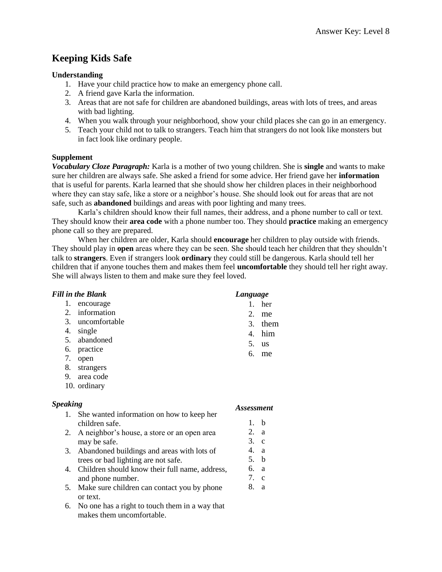# **Keeping Kids Safe**

### **Understanding**

- 1. Have your child practice how to make an emergency phone call.
- 2. A friend gave Karla the information.
- 3. Areas that are not safe for children are abandoned buildings, areas with lots of trees, and areas with bad lighting.
- 4. When you walk through your neighborhood, show your child places she can go in an emergency.
- 5. Teach your child not to talk to strangers. Teach him that strangers do not look like monsters but in fact look like ordinary people.

## **Supplement**

*Vocabulary Cloze Paragraph:* Karla is a mother of two young children. She is **single** and wants to make sure her children are always safe. She asked a friend for some advice. Her friend gave her **information** that is useful for parents. Karla learned that she should show her children places in their neighborhood where they can stay safe, like a store or a neighbor's house. She should look out for areas that are not safe, such as **abandoned** buildings and areas with poor lighting and many trees.

Karla's children should know their full names, their address, and a phone number to call or text. They should know their **area code** with a phone number too. They should **practice** making an emergency phone call so they are prepared.

When her children are older, Karla should **encourage** her children to play outside with friends. They should play in **open** areas where they can be seen. She should teach her children that they shouldn't talk to **strangers**. Even if strangers look **ordinary** they could still be dangerous. Karla should tell her children that if anyone touches them and makes them feel **uncomfortable** they should tell her right away. She will always listen to them and make sure they feel loved.

|                 | <b>Fill in the Blank</b>                       | Language          |           |
|-----------------|------------------------------------------------|-------------------|-----------|
| 1.              | encourage                                      | 1.                | her       |
| 2.              | information                                    | 2.                | me        |
| 3.              | uncomfortable                                  |                   | 3. them   |
|                 | 4. single                                      |                   | 4. him    |
|                 | 5. abandoned                                   | 5.                | <b>us</b> |
|                 | 6. practice                                    | 6.                | me        |
|                 | 7. open                                        |                   |           |
|                 | 8. strangers                                   |                   |           |
|                 | 9. area code                                   |                   |           |
|                 | 10. ordinary                                   |                   |           |
| <b>Speaking</b> |                                                | <b>Assessment</b> |           |
| $1_{-}$         | She wanted information on how to keep her      |                   |           |
|                 | children safe.                                 | $1_{-}$           | b         |
| 2.              | A neighbor's house, a store or an open area    | 2. a              |           |
|                 | may be safe.                                   | $3$ . c           |           |
| 3.              | Abandoned buildings and areas with lots of     | 4.                | a         |
|                 | trees or bad lighting are not safe.            | 5. b              |           |
| 4.              | Children should know their full name, address, | 6. a              |           |
|                 | and phone number.                              | 7. c              |           |
| 5.              | Make sure children can contact you by phone    | 8.                | a         |
|                 | or text.                                       |                   |           |
| 6.              | No one has a right to touch them in a way that |                   |           |
|                 | makes them uncomfortable.                      |                   |           |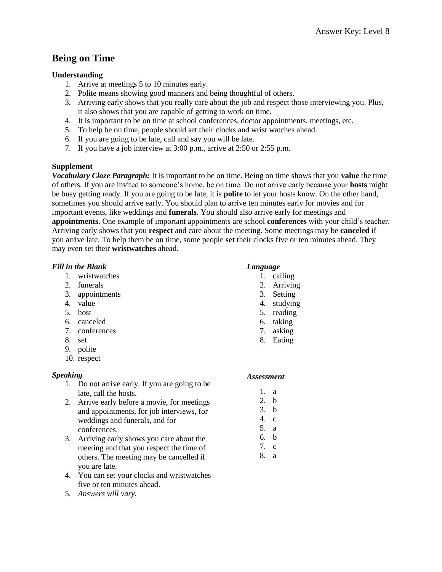# **Being on Time**

## **Understanding**

- 1. Arrive at meetings 5 to 10 minutes early.
- 2. Polite means showing good manners and being thoughtful of others.
- 3. Arriving early shows that you really care about the job and respect those interviewing you. Plus, it also shows that you are capable of getting to work on time.
- 4. It is important to be on time at school conferences, doctor appointments, meetings, etc.
- 5. To help be on time, people should set their clocks and wrist watches ahead.
- 6. If you are going to be late, call and say you will be late.
- 7. If you have a job interview at 3:00 p.m., arrive at 2:50 or 2:55 p.m.

#### **Supplement**

*Vocabulary Cloze Paragraph:* It is important to be on time. Being on time shows that you **value** the time of others. If you are invited to someone's home, be on time. Do not arrive early because your **hosts** might be busy getting ready. If you are going to be late, it is **polite** to let your hosts know. On the other hand, sometimes you should arrive early. You should plan to arrive ten minutes early for movies and for important events, like weddings and **funerals**. You should also arrive early for meetings and **appointments**. One example of important appointments are school **conferences** with your child's teacher. Arriving early shows that you **respect** and care about the meeting. Some meetings may be **canceled** if you arrive late. To help them be on time, some people **set** their clocks five or ten minutes ahead. They may even set their **wristwatches** ahead.

#### *Fill in the Blank*

- 1. wristwatches
- 2. funerals
- 3. appointments
- 4. value
- 5. host
- 6. canceled
- 7. conferences
- 8. set
- 9. polite
- 10. respect

## *Speaking*

- 1. Do not arrive early. If you are going to be late, call the hosts.
- 2. Arrive early before a movie, for meetings and appointments, for job interviews, for weddings and funerals, and for conferences.
- 3. Arriving early shows you care about the meeting and that you respect the time of others. The meeting may be cancelled if you are late.
- 4. You can set your clocks and wristwatches five or ten minutes ahead.
- 5. *Answers will vary.*

#### *Language*

- 1. calling
- 2. Arriving
- 3. Setting
- 4. studying
- 5. reading
- 6. taking
- 7. asking
- 8. Eating

- 1. a
- 2. b
- 3. b 4. c
- 5. a
- 6. b
- 7. c
- 8. a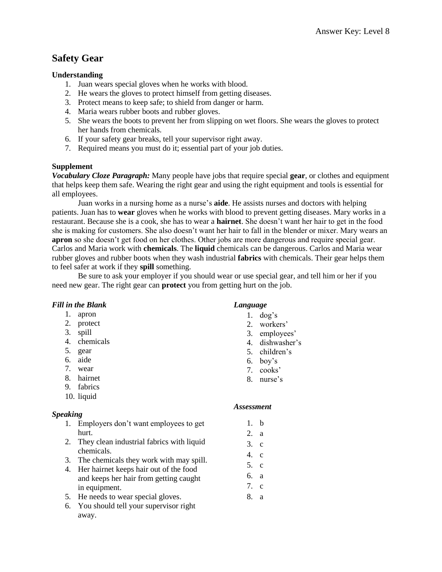# **Safety Gear**

### **Understanding**

- 1. Juan wears special gloves when he works with blood.
- 2. He wears the gloves to protect himself from getting diseases.
- 3. Protect means to keep safe; to shield from danger or harm.
- 4. Maria wears rubber boots and rubber gloves.
- 5. She wears the boots to prevent her from slipping on wet floors. She wears the gloves to protect her hands from chemicals.
- 6. If your safety gear breaks, tell your supervisor right away.
- 7. Required means you must do it; essential part of your job duties.

#### **Supplement**

*Vocabulary Cloze Paragraph:* Many people have jobs that require special **gear**, or clothes and equipment that helps keep them safe. Wearing the right gear and using the right equipment and tools is essential for all employees.

Juan works in a nursing home as a nurse's **aide**. He assists nurses and doctors with helping patients. Juan has to **wear** gloves when he works with blood to prevent getting diseases. Mary works in a restaurant. Because she is a cook, she has to wear a **hairnet**. She doesn't want her hair to get in the food she is making for customers. She also doesn't want her hair to fall in the blender or mixer. Mary wears an **apron** so she doesn't get food on her clothes. Other jobs are more dangerous and require special gear. Carlos and Maria work with **chemicals**. The **liquid** chemicals can be dangerous. Carlos and Maria wear rubber gloves and rubber boots when they wash industrial **fabrics** with chemicals. Their gear helps them to feel safer at work if they **spill** something.

Be sure to ask your employer if you should wear or use special gear, and tell him or her if you need new gear. The right gear can **protect** you from getting hurt on the job.

## *Fill in the Blank*

- 1. apron
- 2. protect
- 3. spill
- 4. chemicals
- 5. gear
- 6. aide
- 7. wear
- 8. hairnet
- 9. fabrics
- 10. liquid

## *Speaking*

- 1. Employers don't want employees to get hurt.
- 2. They clean industrial fabrics with liquid chemicals.
- 3. The chemicals they work with may spill.
- 4. Her hairnet keeps hair out of the food and keeps her hair from getting caught in equipment.
- 5. He needs to wear special gloves.
- 6. You should tell your supervisor right away.

## *Language*

- 1. dog's
- 2. workers'
- 3. employees'
- 4. dishwasher's
- 5. children's
- 6. boy's
- 7. cooks'
- 8. nurse's

- 1. b
- 2. a
- 3. c
- 4. c
- 5. c
- 6. a
- 7. c
- 8. a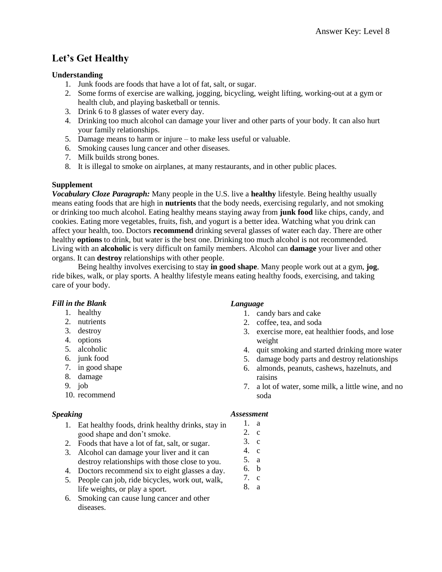# **Let's Get Healthy**

## **Understanding**

- 1. Junk foods are foods that have a lot of fat, salt, or sugar.
- 2. Some forms of exercise are walking, jogging, bicycling, weight lifting, working-out at a gym or health club, and playing basketball or tennis.
- 3. Drink 6 to 8 glasses of water every day.
- 4. Drinking too much alcohol can damage your liver and other parts of your body. It can also hurt your family relationships.
- 5. Damage means to harm or injure to make less useful or valuable.
- 6. Smoking causes lung cancer and other diseases.
- 7. Milk builds strong bones.
- 8. It is illegal to smoke on airplanes, at many restaurants, and in other public places.

# **Supplement**

*Vocabulary Cloze Paragraph:* Many people in the U.S. live a **healthy** lifestyle. Being healthy usually means eating foods that are high in **nutrients** that the body needs, exercising regularly, and not smoking or drinking too much alcohol. Eating healthy means staying away from **junk food** like chips, candy, and cookies. Eating more vegetables, fruits, fish, and yogurt is a better idea. Watching what you drink can affect your health, too. Doctors **recommend** drinking several glasses of water each day. There are other healthy **options** to drink, but water is the best one. Drinking too much alcohol is not recommended. Living with an **alcoholic** is very difficult on family members. Alcohol can **damage** your liver and other organs. It can **destroy** relationships with other people.

Being healthy involves exercising to stay **in good shape**. Many people work out at a gym, **jog**, ride bikes, walk, or play sports. A healthy lifestyle means eating healthy foods, exercising, and taking care of your body.

# *Fill in the Blank*

- 1. healthy
- 2. nutrients
- 3. destroy
- 4. options
- 5. alcoholic
- 6. junk food
- 7. in good shape
- 8. damage
- 9. job
- 10. recommend

# *Speaking*

- 1. Eat healthy foods, drink healthy drinks, stay in good shape and don't smoke.
- 2. Foods that have a lot of fat, salt, or sugar.
- 3. Alcohol can damage your liver and it can destroy relationships with those close to you.
- 4. Doctors recommend six to eight glasses a day.
- 5. People can job, ride bicycles, work out, walk, life weights, or play a sport.
- 6. Smoking can cause lung cancer and other diseases.

# *Language*

- 1. candy bars and cake
- 2. coffee, tea, and soda
- 3. exercise more, eat healthier foods, and lose weight
- 4. quit smoking and started drinking more water
- 5. damage body parts and destroy relationships
- 6. almonds, peanuts, cashews, hazelnuts, and raisins
- 7. a lot of water, some milk, a little wine, and no soda

- 1. a
- 2. c
- 3. c 4. c
- 5. a
- 6. b
- 7. c
- 8. a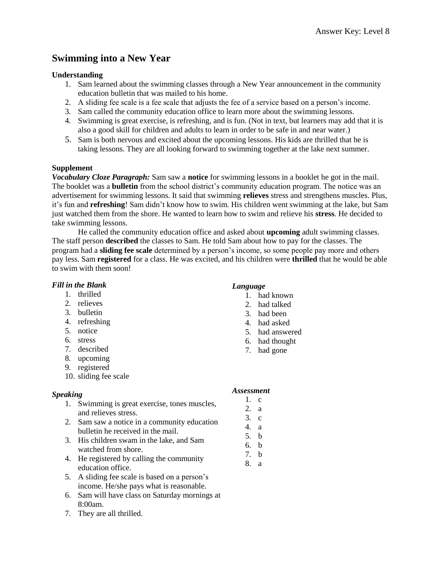# **Swimming into a New Year**

#### **Understanding**

- 1. Sam learned about the swimming classes through a New Year announcement in the community education bulletin that was mailed to his home.
- 2. A sliding fee scale is a fee scale that adjusts the fee of a service based on a person's income.
- 3. Sam called the community education office to learn more about the swimming lessons.
- 4. Swimming is great exercise, is refreshing, and is fun. (Not in text, but learners may add that it is also a good skill for children and adults to learn in order to be safe in and near water.)
- 5. Sam is both nervous and excited about the upcoming lessons. His kids are thrilled that he is taking lessons. They are all looking forward to swimming together at the lake next summer.

#### **Supplement**

*Vocabulary Cloze Paragraph:* Sam saw a **notice** for swimming lessons in a booklet he got in the mail. The booklet was a **bulletin** from the school district's community education program. The notice was an advertisement for swimming lessons. It said that swimming **relieves** stress and strengthens muscles. Plus, it's fun and **refreshing**! Sam didn't know how to swim. His children went swimming at the lake, but Sam just watched them from the shore. He wanted to learn how to swim and relieve his **stress**. He decided to take swimming lessons.

He called the community education office and asked about **upcoming** adult swimming classes. The staff person **described** the classes to Sam. He told Sam about how to pay for the classes. The program had a **sliding fee scale** determined by a person's income, so some people pay more and others pay less. Sam **registered** for a class. He was excited, and his children were **thrilled** that he would be able to swim with them soon!

#### *Fill in the Blank*

- 1. thrilled
- 2. relieves
- 3. bulletin
- 4. refreshing
- 5. notice
- 6. stress
- 7. described
- 8. upcoming
- 9. registered
- 10. sliding fee scale

#### *Speaking*

- 1. Swimming is great exercise, tones muscles, and relieves stress.
- 2. Sam saw a notice in a community education bulletin he received in the mail.
- 3. His children swam in the lake, and Sam watched from shore.
- 4. He registered by calling the community education office.
- 5. A sliding fee scale is based on a person's income. He/she pays what is reasonable.
- 6. Sam will have class on Saturday mornings at 8:00am.
- 7. They are all thrilled.

## *Language*

- 1. had known
- 2. had talked
- 3. had been
- 4. had asked
- 5. had answered
- 6. had thought
- 7. had gone

- 1. c
- 2. a
- 3. c
- 4. a
- 5. b
- 6. b
- 7. b 8. a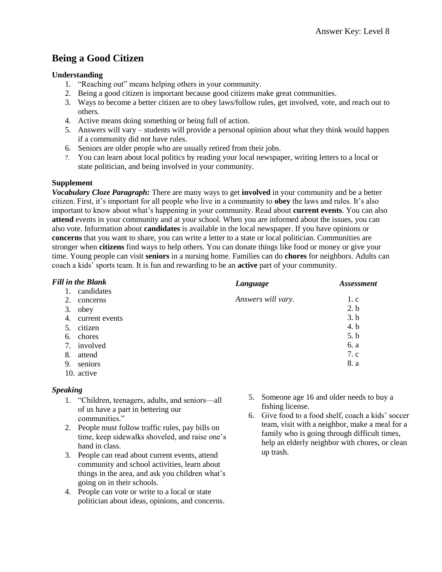# **Being a Good Citizen**

### **Understanding**

- 1. "Reaching out" means helping others in your community.
- 2. Being a good citizen is important because good citizens make great communities.
- 3. Ways to become a better citizen are to obey laws/follow rules, get involved, vote, and reach out to others.
- 4. Active means doing something or being full of action.
- 5. Answers will vary students will provide a personal opinion about what they think would happen if a community did not have rules.
- 6. Seniors are older people who are usually retired from their jobs.
- 7. You can learn about local politics by reading your local newspaper, writing letters to a local or state politician, and being involved in your community.

#### **Supplement**

*Vocabulary Cloze Paragraph:* There are many ways to get **involved** in your community and be a better citizen. First, it's important for all people who live in a community to **obey** the laws and rules. It's also important to know about what's happening in your community. Read about **current events**. You can also **attend** events in your community and at your school. When you are informed about the issues, you can also vote. Information about **candidates** is available in the local newspaper. If you have opinions or **concerns** that you want to share, you can write a letter to a state or local politician. Communities are stronger when **citizens** find ways to help others. You can donate things like food or money or give your time. Young people can visit **seniors** in a nursing home. Families can do **chores** for neighbors. Adults can coach a kids' sports team. It is fun and rewarding to be an **active** part of your community.

| <b>Fill in the Blank</b> | Language           | <i><b>Assessment</b></i> |
|--------------------------|--------------------|--------------------------|
| candidates               |                    |                          |
| 2.<br>concerns           | Answers will vary. | 1. c                     |
| 3.<br>obey               |                    | 2.b                      |
| 4.<br>current events     |                    | 3.b                      |
| citizen<br>5.            |                    | 4. b                     |
| chores<br>6.             |                    | 5.b                      |
| involved<br>7.           |                    | 6. a                     |
| 8.<br>attend             |                    | 7. c                     |
| seniors<br>9.            |                    | 8. a                     |
| 10. active               |                    |                          |

#### *Speaking*

- 1. "Children, teenagers, adults, and seniors—all of us have a part in bettering our communities."
- 2. People must follow traffic rules, pay bills on time, keep sidewalks shoveled, and raise one's hand in class.
- 3. People can read about current events, attend community and school activities, learn about things in the area, and ask you children what's going on in their schools.
- 4. People can vote or write to a local or state politician about ideas, opinions, and concerns.
- 5. Someone age 16 and older needs to buy a fishing license.
- 6. Give food to a food shelf, coach a kids' soccer team, visit with a neighbor, make a meal for a family who is going through difficult times, help an elderly neighbor with chores, or clean up trash.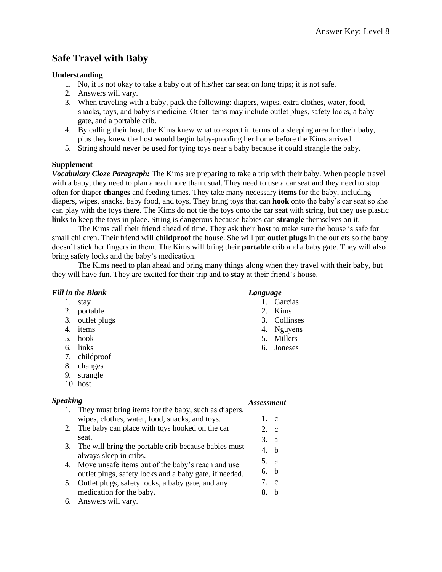# **Safe Travel with Baby**

## **Understanding**

- 1. No, it is not okay to take a baby out of his/her car seat on long trips; it is not safe.
- 2. Answers will vary.
- 3. When traveling with a baby, pack the following: diapers, wipes, extra clothes, water, food, snacks, toys, and baby's medicine. Other items may include outlet plugs, safety locks, a baby gate, and a portable crib.
- 4. By calling their host, the Kims knew what to expect in terms of a sleeping area for their baby, plus they knew the host would begin baby-proofing her home before the Kims arrived.
- 5. String should never be used for tying toys near a baby because it could strangle the baby.

## **Supplement**

*Vocabulary Cloze Paragraph:* The Kims are preparing to take a trip with their baby. When people travel with a baby, they need to plan ahead more than usual. They need to use a car seat and they need to stop often for diaper **changes** and feeding times. They take many necessary **items** for the baby, including diapers, wipes, snacks, baby food, and toys. They bring toys that can **hook** onto the baby's car seat so she can play with the toys there. The Kims do not tie the toys onto the car seat with string, but they use plastic **links** to keep the toys in place. String is dangerous because babies can **strangle** themselves on it.

The Kims call their friend ahead of time. They ask their **host** to make sure the house is safe for small children. Their friend will **childproof** the house. She will put **outlet plugs** in the outlets so the baby doesn't stick her fingers in them. The Kims will bring their **portable** crib and a baby gate. They will also bring safety locks and the baby's medication.

The Kims need to plan ahead and bring many things along when they travel with their baby, but they will have fun. They are excited for their trip and to **stay** at their friend's house.

## *Fill in the Blank*

- 1. stay
- 2. portable
- 3. outlet plugs
- 4. items
- 5. hook
- 6. links
- 7. childproof
- 8. changes
- 9. strangle
- 10. host

## *Speaking*

#### *Assessment*

*Language*

1. Garcias 2. Kims 3. Collinses 4. Nguyens 5. Millers 6. Joneses

- 1. They must bring items for the baby, such as diapers, wipes, clothes, water, food, snacks, and toys. 2. The baby can place with toys hooked on the car seat. 3. The will bring the portable crib because babies must always sleep in cribs. 4. Move unsafe items out of the baby's reach and use outlet plugs, safety locks and a baby gate, if needed. 5. Outlet plugs, safety locks, a baby gate, and any medication for the baby. 1. c 2. c 3. a 4. b 5. a 6. b 7. c 8. b
- 6. Answers will vary.